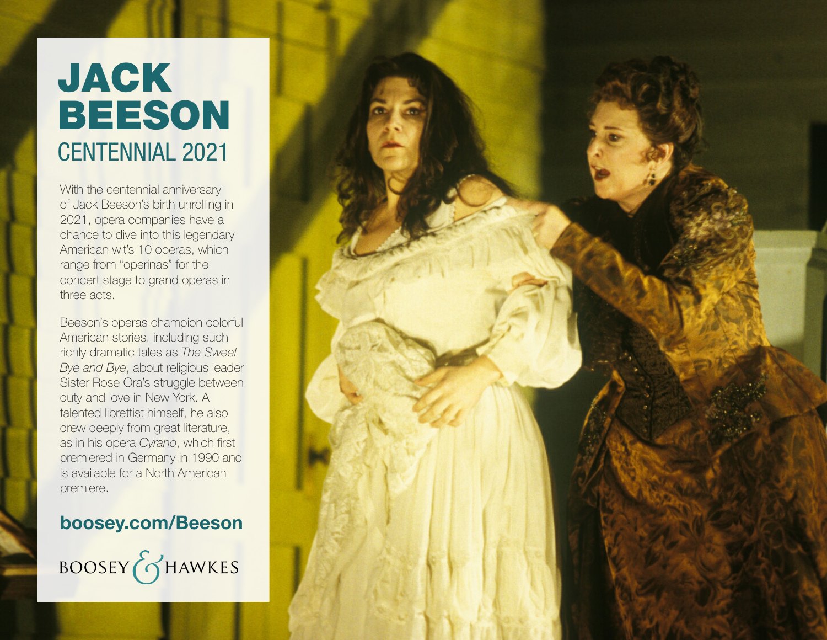# JACK BEESON CENTENNIAL 2021

With the centennial anniversary of Jack Beeson's birth unrolling in 2021, opera companies have a chance to dive into this legendary American wit's 10 operas, which range from "operinas" for the concert stage to grand operas in three acts.

Beeson's operas champion colorful American stories, including such richly dramatic tales as *The Sweet Bye and Bye*, about religious leader Sister Rose Ora's struggle between duty and love in New York. A talented librettist himself, he also drew deeply from great literature, as in his opera *Cyrano*, which first premiered in Germany in 1990 and is available for a North American premiere.

## **boosey.com/Beeson**